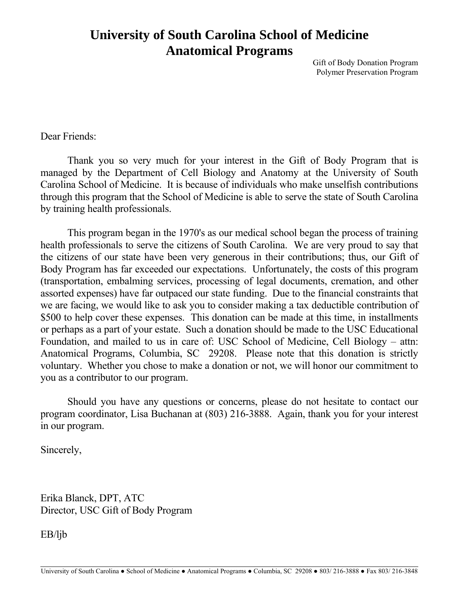# **University of South Carolina School of Medicine Anatomical Programs**

Gift of Body Donation Program Polymer Preservation Program

Dear Friends:

 Thank you so very much for your interest in the Gift of Body Program that is managed by the Department of Cell Biology and Anatomy at the University of South Carolina School of Medicine. It is because of individuals who make unselfish contributions through this program that the School of Medicine is able to serve the state of South Carolina by training health professionals.

 This program began in the 1970's as our medical school began the process of training health professionals to serve the citizens of South Carolina. We are very proud to say that the citizens of our state have been very generous in their contributions; thus, our Gift of Body Program has far exceeded our expectations. Unfortunately, the costs of this program (transportation, embalming services, processing of legal documents, cremation, and other assorted expenses) have far outpaced our state funding. Due to the financial constraints that we are facing, we would like to ask you to consider making a tax deductible contribution of \$500 to help cover these expenses. This donation can be made at this time, in installments or perhaps as a part of your estate. Such a donation should be made to the USC Educational Foundation, and mailed to us in care of: USC School of Medicine, Cell Biology – attn: Anatomical Programs, Columbia, SC 29208. Please note that this donation is strictly voluntary. Whether you chose to make a donation or not, we will honor our commitment to you as a contributor to our program.

 Should you have any questions or concerns, please do not hesitate to contact our program coordinator, Lisa Buchanan at (803) 216-3888. Again, thank you for your interest in our program.

Sincerely,

Erika Blanck, DPT, ATC Director, USC Gift of Body Program

EB/ljb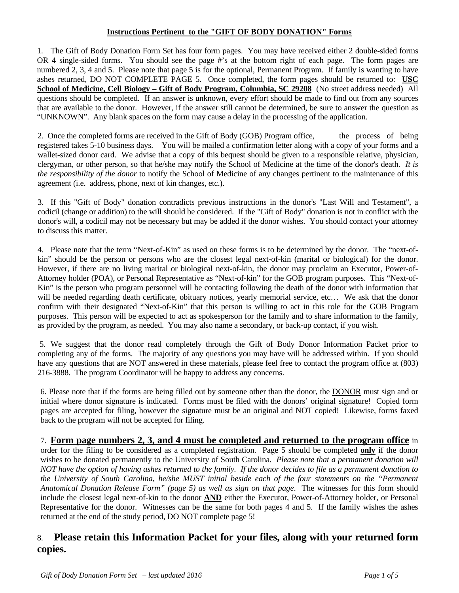#### **Instructions Pertinent to the "GIFT OF BODY DONATION" Forms**

1. The Gift of Body Donation Form Set has four form pages. You may have received either 2 double-sided forms OR 4 single-sided forms. You should see the page #'s at the bottom right of each page. The form pages are numbered 2, 3, 4 and 5. Please note that page 5 is for the optional, Permanent Program. If family is wanting to have ashes returned, DO NOT COMPLETE PAGE 5. Once completed, the form pages should be returned to: **USC School of Medicine, Cell Biology – Gift of Body Program, Columbia, SC 29208** (No street address needed) All questions should be completed. If an answer is unknown, every effort should be made to find out from any sources that are available to the donor. However, if the answer still cannot be determined, be sure to answer the question as "UNKNOWN". Any blank spaces on the form may cause a delay in the processing of the application.

2. Once the completed forms are received in the Gift of Body (GOB) Program office, the process of being registered takes 5-10 business days. You will be mailed a confirmation letter along with a copy of your forms and a wallet-sized donor card. We advise that a copy of this bequest should be given to a responsible relative, physician, clergyman, or other person, so that he/she may notify the School of Medicine at the time of the donor's death. *It is the responsibility of the donor* to notify the School of Medicine of any changes pertinent to the maintenance of this agreement (i.e. address, phone, next of kin changes, etc.).

3. If this "Gift of Body" donation contradicts previous instructions in the donor's "Last Will and Testament", a codicil (change or addition) to the will should be considered. If the "Gift of Body" donation is not in conflict with the donor's will, a codicil may not be necessary but may be added if the donor wishes. You should contact your attorney to discuss this matter.

4. Please note that the term "Next-of-Kin" as used on these forms is to be determined by the donor. The "next-ofkin" should be the person or persons who are the closest legal next-of-kin (marital or biological) for the donor. However, if there are no living marital or biological next-of-kin, the donor may proclaim an Executor, Power-of-Attorney holder (POA), or Personal Representative as "Next-of-kin" for the GOB program purposes. This "Next-of-Kin" is the person who program personnel will be contacting following the death of the donor with information that will be needed regarding death certificate, obituary notices, yearly memorial service, etc... We ask that the donor confirm with their designated "Next-of-Kin" that this person is willing to act in this role for the GOB Program purposes. This person will be expected to act as spokesperson for the family and to share information to the family, as provided by the program, as needed. You may also name a secondary, or back-up contact, if you wish.

 5. We suggest that the donor read completely through the Gift of Body Donor Information Packet prior to completing any of the forms. The majority of any questions you may have will be addressed within. If you should have any questions that are NOT answered in these materials, please feel free to contact the program office at (803) 216-3888. The program Coordinator will be happy to address any concerns.

6. Please note that if the forms are being filled out by someone other than the donor, the DONOR must sign and or initial where donor signature is indicated. Forms must be filed with the donors' original signature! Copied form pages are accepted for filing, however the signature must be an original and NOT copied! Likewise, forms faxed back to the program will not be accepted for filing.

#### 7. **Form page numbers 2, 3, and 4 must be completed and returned to the program office** in order for the filing to be considered as a completed registration. Page 5 should be completed **only** if the donor wishes to be donated permanently to the University of South Carolina. *Please note that a permanent donation will NOT have the option of having ashes returned to the family. If the donor decides to file as a permanent donation to the University of South Carolina, he/she MUST initial beside each of the four statements on the "Permanent Anatomical Donation Release Form" (page 5) as well as sign on that page*. The witnesses for this form should include the closest legal next-of-kin to the donor **AND** either the Executor, Power-of-Attorney holder, or Personal Representative for the donor. Witnesses can be the same for both pages 4 and 5. If the family wishes the ashes returned at the end of the study period, DO NOT complete page 5!

## 8. **Please retain this Information Packet for your files, along with your returned form copies.**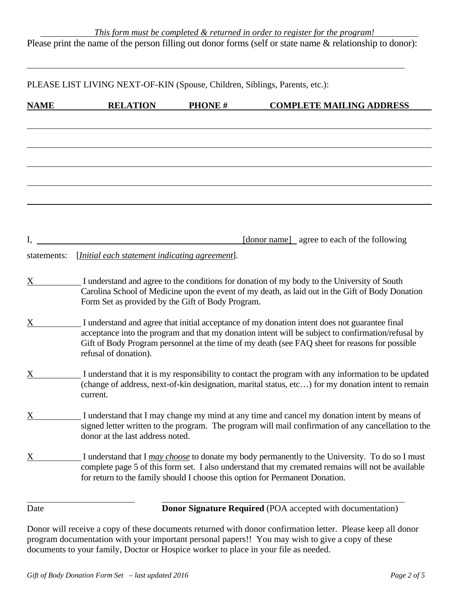| <b>NAME</b> | <b>RELATION</b>                                   | <b>PHONE#</b> | <b>COMPLETE MAILING ADDRESS</b>                                                                        |
|-------------|---------------------------------------------------|---------------|--------------------------------------------------------------------------------------------------------|
|             |                                                   |               |                                                                                                        |
|             |                                                   |               |                                                                                                        |
|             |                                                   |               |                                                                                                        |
|             |                                                   |               |                                                                                                        |
|             |                                                   |               |                                                                                                        |
|             |                                                   |               |                                                                                                        |
|             |                                                   |               |                                                                                                        |
|             |                                                   |               |                                                                                                        |
|             |                                                   |               |                                                                                                        |
| I.          |                                                   |               | [donor name] agree to each of the following                                                            |
| statements: | [Initial each statement indicating agreement].    |               |                                                                                                        |
|             |                                                   |               |                                                                                                        |
| X           |                                                   |               | I understand and agree to the conditions for donation of my body to the University of South            |
|             | Form Set as provided by the Gift of Body Program. |               | Carolina School of Medicine upon the event of my death, as laid out in the Gift of Body Donation       |
|             |                                                   |               |                                                                                                        |
| X           |                                                   |               | I understand and agree that initial acceptance of my donation intent does not guarantee final          |
|             |                                                   |               | acceptance into the program and that my donation intent will be subject to confirmation/refusal by     |
|             | refusal of donation).                             |               | Gift of Body Program personnel at the time of my death (see FAQ sheet for reasons for possible         |
|             |                                                   |               |                                                                                                        |
| X           |                                                   |               | I understand that it is my responsibility to contact the program with any information to be updated    |
|             | current.                                          |               | (change of address, next-of-kin designation, marital status, etc) for my donation intent to remain     |
|             |                                                   |               |                                                                                                        |
| X           |                                                   |               | I understand that I may change my mind at any time and cancel my donation intent by means of           |
|             |                                                   |               | signed letter written to the program. The program will mail confirmation of any cancellation to the    |
|             | donor at the last address noted.                  |               |                                                                                                        |
| X           |                                                   |               | I understand that I <i>may choose</i> to donate my body permanently to the University. To do so I must |
|             |                                                   |               | complete page 5 of this form set. I also understand that my cremated remains will not be available     |
|             |                                                   |               | for return to the family should I choose this option for Permanent Donation.                           |
|             |                                                   |               |                                                                                                        |
| Date        |                                                   |               | <b>Donor Signature Required</b> (POA accepted with documentation)                                      |

Donor will receive a copy of these documents returned with donor confirmation letter. Please keep all donor program documentation with your important personal papers!! You may wish to give a copy of these documents to your family, Doctor or Hospice worker to place in your file as needed.

 $\overline{a}$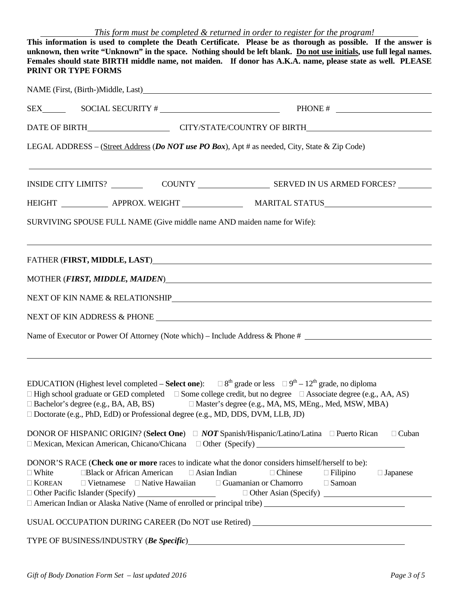| This form must be completed & returned in order to register for the program! |
|------------------------------------------------------------------------------|
|------------------------------------------------------------------------------|

| This information is used to complete the Death Certificate. Please be as thorough as possible. If the answer is<br>unknown, then write "Unknown" in the space. Nothing should be left blank. Do not use initials, use full legal names.<br>Females should state BIRTH middle name, not maiden. If donor has A.K.A. name, please state as well. PLEASE<br>PRINT OR TYPE FORMS |                                                                                              |                                                                                                                                                                                                                                                                                                                    |  |  |  |
|------------------------------------------------------------------------------------------------------------------------------------------------------------------------------------------------------------------------------------------------------------------------------------------------------------------------------------------------------------------------------|----------------------------------------------------------------------------------------------|--------------------------------------------------------------------------------------------------------------------------------------------------------------------------------------------------------------------------------------------------------------------------------------------------------------------|--|--|--|
|                                                                                                                                                                                                                                                                                                                                                                              |                                                                                              |                                                                                                                                                                                                                                                                                                                    |  |  |  |
|                                                                                                                                                                                                                                                                                                                                                                              |                                                                                              |                                                                                                                                                                                                                                                                                                                    |  |  |  |
|                                                                                                                                                                                                                                                                                                                                                                              |                                                                                              | DATE OF BIRTH CITY/STATE/COUNTRY OF BIRTH                                                                                                                                                                                                                                                                          |  |  |  |
|                                                                                                                                                                                                                                                                                                                                                                              |                                                                                              | LEGAL ADDRESS – (Street Address (Do NOT use PO Box), Apt # as needed, City, State & Zip Code)                                                                                                                                                                                                                      |  |  |  |
|                                                                                                                                                                                                                                                                                                                                                                              |                                                                                              |                                                                                                                                                                                                                                                                                                                    |  |  |  |
|                                                                                                                                                                                                                                                                                                                                                                              |                                                                                              |                                                                                                                                                                                                                                                                                                                    |  |  |  |
| SURVIVING SPOUSE FULL NAME (Give middle name AND maiden name for Wife):                                                                                                                                                                                                                                                                                                      |                                                                                              |                                                                                                                                                                                                                                                                                                                    |  |  |  |
|                                                                                                                                                                                                                                                                                                                                                                              |                                                                                              | FATHER (FIRST, MIDDLE, LAST) MEDICINE AND THE RESERVE AND THE RESERVE AND THE RESERVE AND THE RESERVE AND THE RESERVE AND THE RESERVE AND THE RESERVE AND THE RESERVE AND THE RESERVE AND THE RESERVE AND THE RESERVE AND THE                                                                                      |  |  |  |
|                                                                                                                                                                                                                                                                                                                                                                              |                                                                                              |                                                                                                                                                                                                                                                                                                                    |  |  |  |
|                                                                                                                                                                                                                                                                                                                                                                              |                                                                                              |                                                                                                                                                                                                                                                                                                                    |  |  |  |
|                                                                                                                                                                                                                                                                                                                                                                              |                                                                                              |                                                                                                                                                                                                                                                                                                                    |  |  |  |
|                                                                                                                                                                                                                                                                                                                                                                              |                                                                                              | Name of Executor or Power Of Attorney (Note which) – Include Address & Phone #                                                                                                                                                                                                                                     |  |  |  |
| $\Box$ Bachelor's degree (e.g., BA, AB, BS)<br>□ Doctorate (e.g., PhD, EdD) or Professional degree (e.g., MD, DDS, DVM, LLB, JD)                                                                                                                                                                                                                                             |                                                                                              | EDUCATION (Highest level completed – Select one): $\Box 8^{th}$ grade or less $\Box 9^{th} - 12^{th}$ grade, no diploma<br>$\Box$ High school graduate or GED completed $\Box$ Some college credit, but no degree $\Box$ Associate degree (e.g., AA, AS)<br>□ Master's degree (e.g., MA, MS, MEng., Med, MSW, MBA) |  |  |  |
|                                                                                                                                                                                                                                                                                                                                                                              |                                                                                              | DONOR OF HISPANIC ORIGIN? (Select One) □ NOT Spanish/Hispanic/Latino/Latina □ Puerto Rican<br>$\Box$ Cuban<br>$\Box$ Mexican, Mexican American, Chicano/Chicana $\Box$ Other (Specify)                                                                                                                             |  |  |  |
| □Black or African American<br>$\Box$ White<br>$\Box$ KOREAN                                                                                                                                                                                                                                                                                                                  | $\Box$ Asian Indian<br>$\Box$ Vietnamese $\Box$ Native Hawaiian $\Box$ Guamanian or Chamorro | DONOR'S RACE (Check one or more races to indicate what the donor considers himself/herself to be):<br>□ Chinese<br>$\Box$ Filipino<br>$\Box$ Japanese<br>$\Box$ Samoan                                                                                                                                             |  |  |  |
|                                                                                                                                                                                                                                                                                                                                                                              |                                                                                              | USUAL OCCUPATION DURING CAREER (Do NOT use Retired) _____________________________                                                                                                                                                                                                                                  |  |  |  |
| TYPE OF BUSINESS/INDUSTRY (Be Specific)                                                                                                                                                                                                                                                                                                                                      |                                                                                              |                                                                                                                                                                                                                                                                                                                    |  |  |  |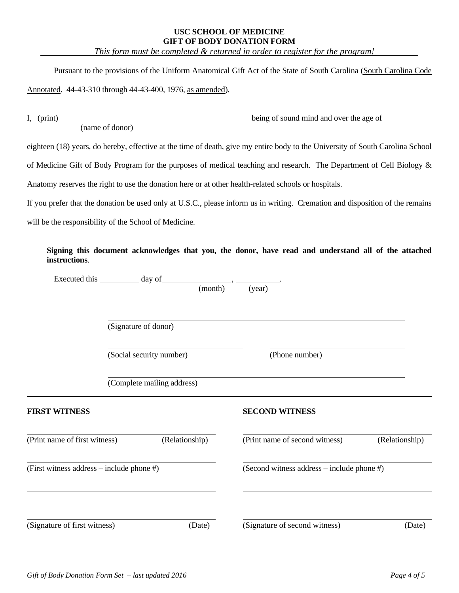#### **USC SCHOOL OF MEDICINE GIFT OF BODY DONATION FORM**

 *This form must be completed & returned in order to register for the program!* 

Pursuant to the provisions of the Uniform Anatomical Gift Act of the State of South Carolina (South Carolina Code

Annotated. 44-43-310 through 44-43-400, 1976, as amended),

I, (print) being of sound mind and over the age of (name of donor)

eighteen (18) years, do hereby, effective at the time of death, give my entire body to the University of South Carolina School

of Medicine Gift of Body Program for the purposes of medical teaching and research. The Department of Cell Biology &

Anatomy reserves the right to use the donation here or at other health-related schools or hospitals.

If you prefer that the donation be used only at U.S.C., please inform us in writing. Cremation and disposition of the remains

will be the responsibility of the School of Medicine.

 **Signing this document acknowledges that you, the donor, have read and understand all of the attached instructions**.

|                                           | Executed this day of       |         |                                            |                |  |
|-------------------------------------------|----------------------------|---------|--------------------------------------------|----------------|--|
|                                           |                            | (month) | (year)                                     |                |  |
|                                           |                            |         |                                            |                |  |
|                                           | (Signature of donor)       |         |                                            |                |  |
|                                           | (Social security number)   |         | (Phone number)                             |                |  |
|                                           | (Complete mailing address) |         |                                            |                |  |
| <b>FIRST WITNESS</b>                      |                            |         | <b>SECOND WITNESS</b>                      |                |  |
| (Print name of first witness)             | (Relationship)             |         | (Print name of second witness)             | (Relationship) |  |
| (First witness address – include phone #) |                            |         | (Second witness address – include phone #) |                |  |
|                                           |                            |         |                                            |                |  |
| (Signature of first witness)              |                            | (Date)  | (Signature of second witness)              | (Date)         |  |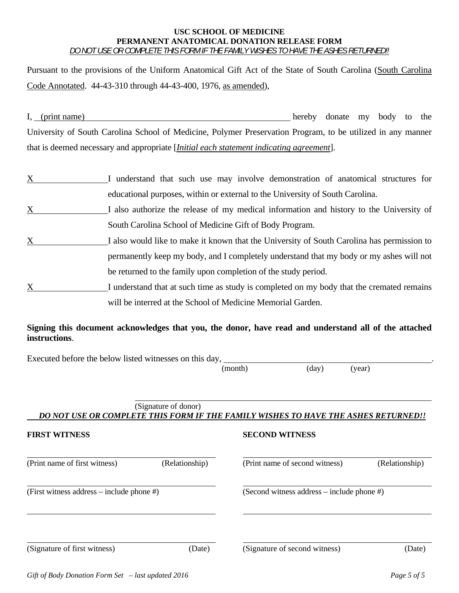#### **USC SCHOOL OF MEDICINE PERMANENT ANATOMICAL DONATION RELEASE FORM**  *DO NOT USE OR COMPLETE THIS FORM IF THE FAMILY WISHES TO HAVE THE ASHES RETURNED!!*

Pursuant to the provisions of the Uniform Anatomical Gift Act of the State of South Carolina (South Carolina Code Annotated. 44-43-310 through 44-43-400, 1976, as amended),

I, (print name) hereby donate my body to the University of South Carolina School of Medicine, Polymer Preservation Program, to be utilized in any manner that is deemed necessary and appropriate [*Initial each statement indicating agreement*].

X I understand that such use may involve demonstration of anatomical structures for educational purposes, within or external to the University of South Carolina.  $X$  I also authorize the release of my medical information and history to the University of South Carolina School of Medicine Gift of Body Program. X I also would like to make it known that the University of South Carolina has permission to permanently keep my body, and I completely understand that my body or my ashes will not be returned to the family upon completion of the study period. X I understand that at such time as study is completed on my body that the cremated remains will be interred at the School of Medicine Memorial Garden.

## **Signing this document acknowledges that you, the donor, have read and understand all of the attached instructions**.

Executed before the below listed witnesses on this day, .

(month) (day) (year)

#### (Signature of donor)  *DO NOT USE OR COMPLETE THIS FORM IF THE FAMILY WISHES TO HAVE THE ASHES RETURNED!!*

| <b>FIRST WITNESS</b>                         |                | <b>SECOND WITNESS</b>                        |                |  |
|----------------------------------------------|----------------|----------------------------------------------|----------------|--|
| (Print name of first witness)                | (Relationship) | (Print name of second witness)               | (Relationship) |  |
| (First witness address – include phone $#$ ) |                | (Second witness address $-$ include phone #) |                |  |
| (Signature of first witness)                 | (Date)         | (Signature of second witness)                | (Date)         |  |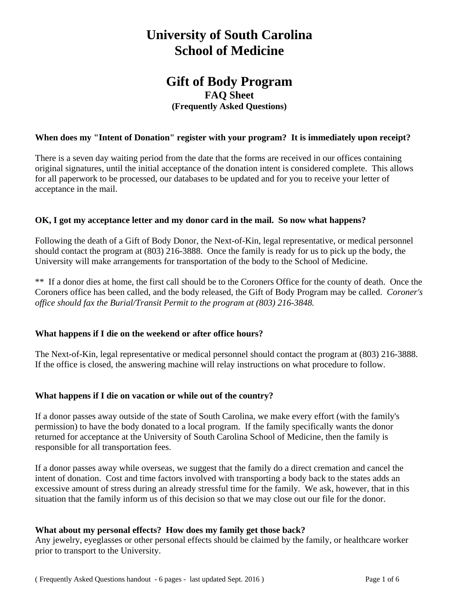## **University of South Carolina School of Medicine**

## **Gift of Body Program FAQ Sheet (Frequently Asked Questions)**

#### **When does my "Intent of Donation" register with your program? It is immediately upon receipt?**

There is a seven day waiting period from the date that the forms are received in our offices containing original signatures, until the initial acceptance of the donation intent is considered complete. This allows for all paperwork to be processed, our databases to be updated and for you to receive your letter of acceptance in the mail.

#### **OK, I got my acceptance letter and my donor card in the mail. So now what happens?**

Following the death of a Gift of Body Donor, the Next-of-Kin, legal representative, or medical personnel should contact the program at (803) 216-3888. Once the family is ready for us to pick up the body, the University will make arrangements for transportation of the body to the School of Medicine.

\*\* If a donor dies at home, the first call should be to the Coroners Office for the county of death. Once the Coroners office has been called, and the body released, the Gift of Body Program may be called. *Coroner's office should fax the Burial/Transit Permit to the program at (803) 216-3848.* 

#### **What happens if I die on the weekend or after office hours?**

The Next-of-Kin, legal representative or medical personnel should contact the program at (803) 216-3888. If the office is closed, the answering machine will relay instructions on what procedure to follow.

#### **What happens if I die on vacation or while out of the country?**

If a donor passes away outside of the state of South Carolina, we make every effort (with the family's permission) to have the body donated to a local program. If the family specifically wants the donor returned for acceptance at the University of South Carolina School of Medicine, then the family is responsible for all transportation fees.

If a donor passes away while overseas, we suggest that the family do a direct cremation and cancel the intent of donation. Cost and time factors involved with transporting a body back to the states adds an excessive amount of stress during an already stressful time for the family. We ask, however, that in this situation that the family inform us of this decision so that we may close out our file for the donor.

#### **What about my personal effects? How does my family get those back?**

Any jewelry, eyeglasses or other personal effects should be claimed by the family, or healthcare worker prior to transport to the University.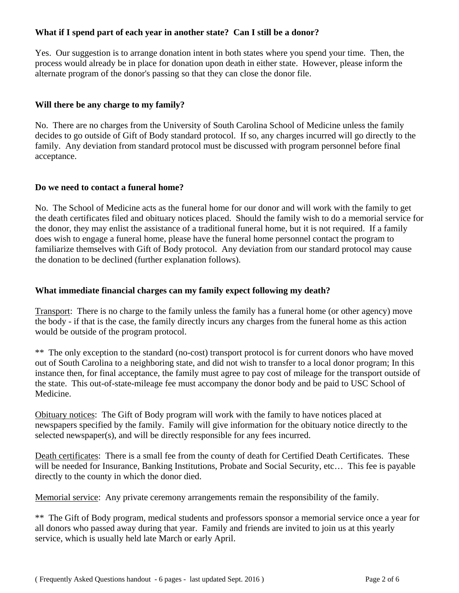## **What if I spend part of each year in another state? Can I still be a donor?**

Yes. Our suggestion is to arrange donation intent in both states where you spend your time. Then, the process would already be in place for donation upon death in either state. However, please inform the alternate program of the donor's passing so that they can close the donor file.

## **Will there be any charge to my family?**

No. There are no charges from the University of South Carolina School of Medicine unless the family decides to go outside of Gift of Body standard protocol. If so, any charges incurred will go directly to the family. Any deviation from standard protocol must be discussed with program personnel before final acceptance.

#### **Do we need to contact a funeral home?**

No. The School of Medicine acts as the funeral home for our donor and will work with the family to get the death certificates filed and obituary notices placed. Should the family wish to do a memorial service for the donor, they may enlist the assistance of a traditional funeral home, but it is not required. If a family does wish to engage a funeral home, please have the funeral home personnel contact the program to familiarize themselves with Gift of Body protocol. Any deviation from our standard protocol may cause the donation to be declined (further explanation follows).

#### **What immediate financial charges can my family expect following my death?**

Transport: There is no charge to the family unless the family has a funeral home (or other agency) move the body - if that is the case, the family directly incurs any charges from the funeral home as this action would be outside of the program protocol.

\*\* The only exception to the standard (no-cost) transport protocol is for current donors who have moved out of South Carolina to a neighboring state, and did not wish to transfer to a local donor program; In this instance then, for final acceptance, the family must agree to pay cost of mileage for the transport outside of the state. This out-of-state-mileage fee must accompany the donor body and be paid to USC School of Medicine.

Obituary notices: The Gift of Body program will work with the family to have notices placed at newspapers specified by the family. Family will give information for the obituary notice directly to the selected newspaper(s), and will be directly responsible for any fees incurred.

Death certificates: There is a small fee from the county of death for Certified Death Certificates. These will be needed for Insurance, Banking Institutions, Probate and Social Security, etc... This fee is payable directly to the county in which the donor died.

Memorial service: Any private ceremony arrangements remain the responsibility of the family.

\*\* The Gift of Body program, medical students and professors sponsor a memorial service once a year for all donors who passed away during that year. Family and friends are invited to join us at this yearly service, which is usually held late March or early April.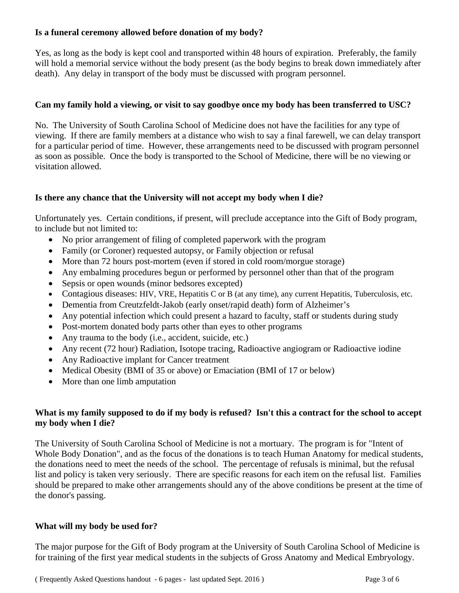## **Is a funeral ceremony allowed before donation of my body?**

Yes, as long as the body is kept cool and transported within 48 hours of expiration. Preferably, the family will hold a memorial service without the body present (as the body begins to break down immediately after death). Any delay in transport of the body must be discussed with program personnel.

## **Can my family hold a viewing, or visit to say goodbye once my body has been transferred to USC?**

No. The University of South Carolina School of Medicine does not have the facilities for any type of viewing. If there are family members at a distance who wish to say a final farewell, we can delay transport for a particular period of time. However, these arrangements need to be discussed with program personnel as soon as possible. Once the body is transported to the School of Medicine, there will be no viewing or visitation allowed.

## **Is there any chance that the University will not accept my body when I die?**

Unfortunately yes. Certain conditions, if present, will preclude acceptance into the Gift of Body program, to include but not limited to:

- No prior arrangement of filing of completed paperwork with the program
- Family (or Coroner) requested autopsy, or Family objection or refusal
- More than 72 hours post-mortem (even if stored in cold room/morgue storage)
- Any embalming procedures begun or performed by personnel other than that of the program
- Sepsis or open wounds (minor bedsores excepted)
- Contagious diseases: HIV, VRE, Hepatitis C or B (at any time), any current Hepatitis, Tuberculosis, etc.
- Dementia from Creutzfeldt-Jakob (early onset/rapid death) form of Alzheimer's
- Any potential infection which could present a hazard to faculty, staff or students during study
- Post-mortem donated body parts other than eyes to other programs
- Any trauma to the body (i.e., accident, suicide, etc.)
- Any recent (72 hour) Radiation, Isotope tracing, Radioactive angiogram or Radioactive iodine
- Any Radioactive implant for Cancer treatment
- Medical Obesity (BMI of 35 or above) or Emaciation (BMI of 17 or below)
- More than one limb amputation

## **What is my family supposed to do if my body is refused? Isn't this a contract for the school to accept my body when I die?**

The University of South Carolina School of Medicine is not a mortuary. The program is for "Intent of Whole Body Donation", and as the focus of the donations is to teach Human Anatomy for medical students, the donations need to meet the needs of the school. The percentage of refusals is minimal, but the refusal list and policy is taken very seriously. There are specific reasons for each item on the refusal list. Families should be prepared to make other arrangements should any of the above conditions be present at the time of the donor's passing.

## **What will my body be used for?**

The major purpose for the Gift of Body program at the University of South Carolina School of Medicine is for training of the first year medical students in the subjects of Gross Anatomy and Medical Embryology.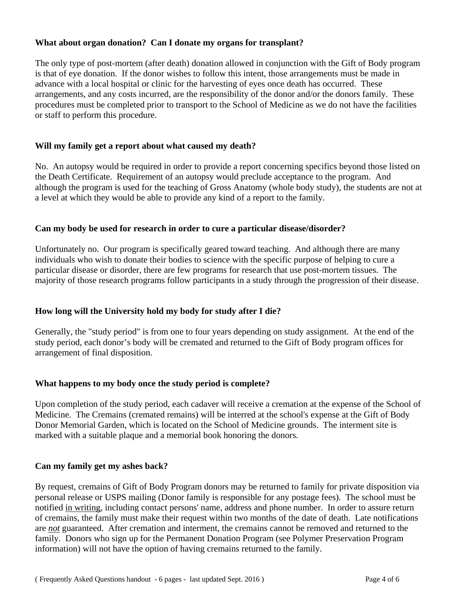#### **What about organ donation? Can I donate my organs for transplant?**

The only type of post-mortem (after death) donation allowed in conjunction with the Gift of Body program is that of eye donation. If the donor wishes to follow this intent, those arrangements must be made in advance with a local hospital or clinic for the harvesting of eyes once death has occurred. These arrangements, and any costs incurred, are the responsibility of the donor and/or the donors family. These procedures must be completed prior to transport to the School of Medicine as we do not have the facilities or staff to perform this procedure.

#### **Will my family get a report about what caused my death?**

No. An autopsy would be required in order to provide a report concerning specifics beyond those listed on the Death Certificate. Requirement of an autopsy would preclude acceptance to the program. And although the program is used for the teaching of Gross Anatomy (whole body study), the students are not at a level at which they would be able to provide any kind of a report to the family.

#### **Can my body be used for research in order to cure a particular disease/disorder?**

Unfortunately no. Our program is specifically geared toward teaching. And although there are many individuals who wish to donate their bodies to science with the specific purpose of helping to cure a particular disease or disorder, there are few programs for research that use post-mortem tissues. The majority of those research programs follow participants in a study through the progression of their disease.

## **How long will the University hold my body for study after I die?**

Generally, the "study period" is from one to four years depending on study assignment. At the end of the study period, each donor's body will be cremated and returned to the Gift of Body program offices for arrangement of final disposition.

#### **What happens to my body once the study period is complete?**

Upon completion of the study period, each cadaver will receive a cremation at the expense of the School of Medicine. The Cremains (cremated remains) will be interred at the school's expense at the Gift of Body Donor Memorial Garden, which is located on the School of Medicine grounds. The interment site is marked with a suitable plaque and a memorial book honoring the donors.

#### **Can my family get my ashes back?**

By request, cremains of Gift of Body Program donors may be returned to family for private disposition via personal release or USPS mailing (Donor family is responsible for any postage fees). The school must be notified in writing, including contact persons' name, address and phone number. In order to assure return of cremains, the family must make their request within two months of the date of death. Late notifications are *not* guaranteed. After cremation and interment, the cremains cannot be removed and returned to the family. Donors who sign up for the Permanent Donation Program (see Polymer Preservation Program information) will not have the option of having cremains returned to the family.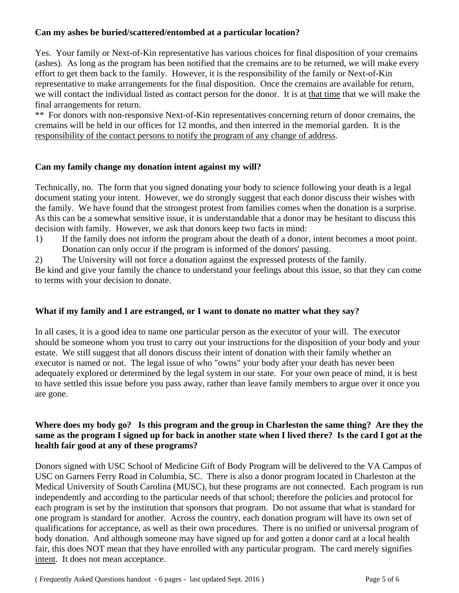## **Can my ashes be buried/scattered/entombed at a particular location?**

Yes. Your family or Next-of-Kin representative has various choices for final disposition of your cremains (ashes). As long as the program has been notified that the cremains are to be returned, we will make every effort to get them back to the family. However, it is the responsibility of the family or Next-of-Kin representative to make arrangements for the final disposition. Once the cremains are available for return, we will contact the individual listed as contact person for the donor. It is at that time that we will make the final arrangements for return.

\*\* For donors with non-responsive Next-of-Kin representatives concerning return of donor cremains, the cremains will be held in our offices for 12 months, and then interred in the memorial garden. It is the responsibility of the contact persons to notify the program of any change of address.

## **Can my family change my donation intent against my will?**

Technically, no. The form that you signed donating your body to science following your death is a legal document stating your intent. However, we do strongly suggest that each donor discuss their wishes with the family. We have found that the strongest protest from families comes when the donation is a surprise. As this can be a somewhat sensitive issue, it is understandable that a donor may be hesitant to discuss this decision with family. However, we ask that donors keep two facts in mind:

- 1) If the family does not inform the program about the death of a donor, intent becomes a moot point. Donation can only occur if the program is informed of the donors' passing.
- 2) The University will not force a donation against the expressed protests of the family.

Be kind and give your family the chance to understand your feelings about this issue, so that they can come to terms with your decision to donate.

## **What if my family and I are estranged, or I want to donate no matter what they say?**

In all cases, it is a good idea to name one particular person as the executor of your will. The executor should be someone whom you trust to carry out your instructions for the disposition of your body and your estate. We still suggest that all donors discuss their intent of donation with their family whether an executor is named or not. The legal issue of who "owns" your body after your death has never been adequately explored or determined by the legal system in our state. For your own peace of mind, it is best to have settled this issue before you pass away, rather than leave family members to argue over it once you are gone.

## **Where does my body go? Is this program and the group in Charleston the same thing? Are they the same as the program I signed up for back in another state when I lived there? Is the card I got at the health fair good at any of these programs?**

Donors signed with USC School of Medicine Gift of Body Program will be delivered to the VA Campus of USC on Garners Ferry Road in Columbia, SC. There is also a donor program located in Charleston at the Medical University of South Carolina (MUSC), but these programs are not connected. Each program is run independently and according to the particular needs of that school; therefore the policies and protocol for each program is set by the institution that sponsors that program. Do not assume that what is standard for one program is standard for another. Across the country, each donation program will have its own set of qualifications for acceptance, as well as their own procedures. There is no unified or universal program of body donation. And although someone may have signed up for and gotten a donor card at a local health fair, this does NOT mean that they have enrolled with any particular program. The card merely signifies intent. It does not mean acceptance.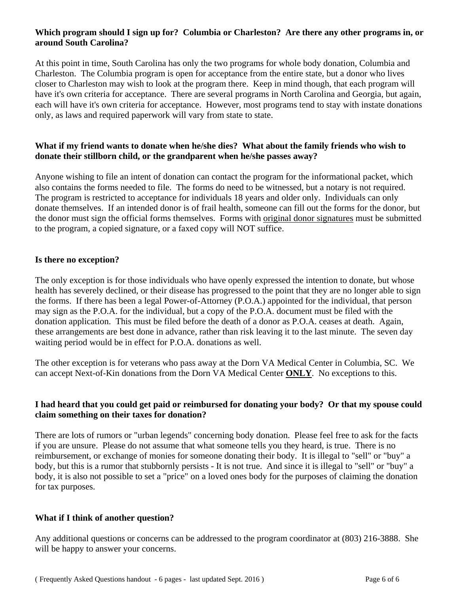#### **Which program should I sign up for? Columbia or Charleston? Are there any other programs in, or around South Carolina?**

At this point in time, South Carolina has only the two programs for whole body donation, Columbia and Charleston. The Columbia program is open for acceptance from the entire state, but a donor who lives closer to Charleston may wish to look at the program there. Keep in mind though, that each program will have it's own criteria for acceptance. There are several programs in North Carolina and Georgia, but again, each will have it's own criteria for acceptance. However, most programs tend to stay with instate donations only, as laws and required paperwork will vary from state to state.

#### **What if my friend wants to donate when he/she dies? What about the family friends who wish to donate their stillborn child, or the grandparent when he/she passes away?**

Anyone wishing to file an intent of donation can contact the program for the informational packet, which also contains the forms needed to file. The forms do need to be witnessed, but a notary is not required. The program is restricted to acceptance for individuals 18 years and older only. Individuals can only donate themselves. If an intended donor is of frail health, someone can fill out the forms for the donor, but the donor must sign the official forms themselves. Forms with original donor signatures must be submitted to the program, a copied signature, or a faxed copy will NOT suffice.

#### **Is there no exception?**

The only exception is for those individuals who have openly expressed the intention to donate, but whose health has severely declined, or their disease has progressed to the point that they are no longer able to sign the forms. If there has been a legal Power-of-Attorney (P.O.A.) appointed for the individual, that person may sign as the P.O.A. for the individual, but a copy of the P.O.A. document must be filed with the donation application. This must be filed before the death of a donor as P.O.A. ceases at death. Again, these arrangements are best done in advance, rather than risk leaving it to the last minute. The seven day waiting period would be in effect for P.O.A. donations as well.

The other exception is for veterans who pass away at the Dorn VA Medical Center in Columbia, SC. We can accept Next-of-Kin donations from the Dorn VA Medical Center **ONLY**. No exceptions to this.

## **I had heard that you could get paid or reimbursed for donating your body? Or that my spouse could claim something on their taxes for donation?**

There are lots of rumors or "urban legends" concerning body donation. Please feel free to ask for the facts if you are unsure. Please do not assume that what someone tells you they heard, is true. There is no reimbursement, or exchange of monies for someone donating their body. It is illegal to "sell" or "buy" a body, but this is a rumor that stubbornly persists - It is not true. And since it is illegal to "sell" or "buy" a body, it is also not possible to set a "price" on a loved ones body for the purposes of claiming the donation for tax purposes.

## **What if I think of another question?**

Any additional questions or concerns can be addressed to the program coordinator at (803) 216-3888. She will be happy to answer your concerns.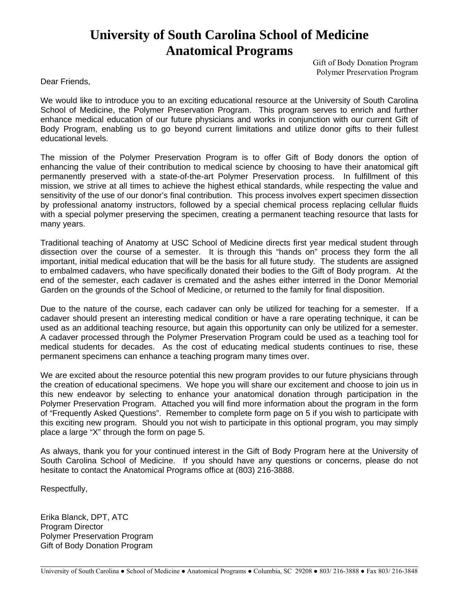# **University of South Carolina School of Medicine Anatomical Programs**

Gift of Body Donation Program Polymer Preservation Program

Dear Friends,

We would like to introduce you to an exciting educational resource at the University of South Carolina School of Medicine, the Polymer Preservation Program. This program serves to enrich and further enhance medical education of our future physicians and works in conjunction with our current Gift of Body Program, enabling us to go beyond current limitations and utilize donor gifts to their fullest educational levels.

The mission of the Polymer Preservation Program is to offer Gift of Body donors the option of enhancing the value of their contribution to medical science by choosing to have their anatomical gift permanently preserved with a state-of-the-art Polymer Preservation process. In fulfillment of this mission, we strive at all times to achieve the highest ethical standards, while respecting the value and sensitivity of the use of our donor's final contribution. This process involves expert specimen dissection by professional anatomy instructors, followed by a special chemical process replacing cellular fluids with a special polymer preserving the specimen, creating a permanent teaching resource that lasts for many years.

Traditional teaching of Anatomy at USC School of Medicine directs first year medical student through dissection over the course of a semester. It is through this "hands on" process they form the all important, initial medical education that will be the basis for all future study. The students are assigned to embalmed cadavers, who have specifically donated their bodies to the Gift of Body program. At the end of the semester, each cadaver is cremated and the ashes either interred in the Donor Memorial Garden on the grounds of the School of Medicine, or returned to the family for final disposition.

Due to the nature of the course, each cadaver can only be utilized for teaching for a semester. If a cadaver should present an interesting medical condition or have a rare operating technique, it can be used as an additional teaching resource, but again this opportunity can only be utilized for a semester. A cadaver processed through the Polymer Preservation Program could be used as a teaching tool for medical students for decades. As the cost of educating medical students continues to rise, these permanent specimens can enhance a teaching program many times over.

We are excited about the resource potential this new program provides to our future physicians through the creation of educational specimens. We hope you will share our excitement and choose to join us in this new endeavor by selecting to enhance your anatomical donation through participation in the Polymer Preservation Program. Attached you will find more information about the program in the form of "Frequently Asked Questions". Remember to complete form page on 5 if you wish to participate with this exciting new program. Should you not wish to participate in this optional program, you may simply place a large "X" through the form on page 5.

As always, thank you for your continued interest in the Gift of Body Program here at the University of South Carolina School of Medicine. If you should have any questions or concerns, please do not hesitate to contact the Anatomical Programs office at (803) 216-3888.

Respectfully,

l

Erika Blanck, DPT, ATC Program Director Polymer Preservation Program Gift of Body Donation Program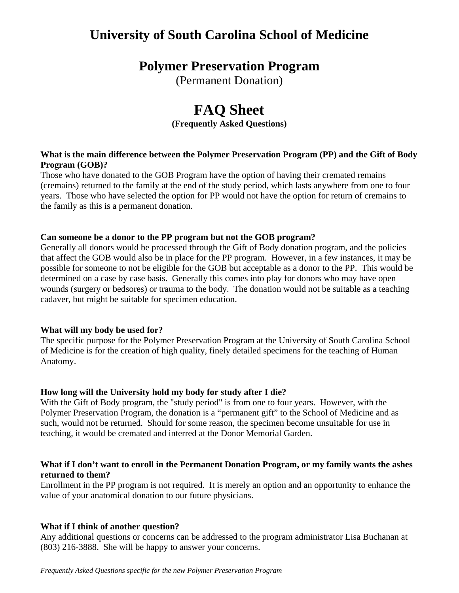## **University of South Carolina School of Medicine**

## **Polymer Preservation Program**

(Permanent Donation)

# **FAQ Sheet**

**(Frequently Asked Questions)** 

#### **What is the main difference between the Polymer Preservation Program (PP) and the Gift of Body Program (GOB)?**

Those who have donated to the GOB Program have the option of having their cremated remains (cremains) returned to the family at the end of the study period, which lasts anywhere from one to four years. Those who have selected the option for PP would not have the option for return of cremains to the family as this is a permanent donation.

#### **Can someone be a donor to the PP program but not the GOB program?**

Generally all donors would be processed through the Gift of Body donation program, and the policies that affect the GOB would also be in place for the PP program. However, in a few instances, it may be possible for someone to not be eligible for the GOB but acceptable as a donor to the PP. This would be determined on a case by case basis. Generally this comes into play for donors who may have open wounds (surgery or bedsores) or trauma to the body. The donation would not be suitable as a teaching cadaver, but might be suitable for specimen education.

## **What will my body be used for?**

The specific purpose for the Polymer Preservation Program at the University of South Carolina School of Medicine is for the creation of high quality, finely detailed specimens for the teaching of Human Anatomy.

## **How long will the University hold my body for study after I die?**

With the Gift of Body program, the "study period" is from one to four years. However, with the Polymer Preservation Program, the donation is a "permanent gift" to the School of Medicine and as such, would not be returned. Should for some reason, the specimen become unsuitable for use in teaching, it would be cremated and interred at the Donor Memorial Garden.

#### **What if I don't want to enroll in the Permanent Donation Program, or my family wants the ashes returned to them?**

Enrollment in the PP program is not required. It is merely an option and an opportunity to enhance the value of your anatomical donation to our future physicians.

## **What if I think of another question?**

Any additional questions or concerns can be addressed to the program administrator Lisa Buchanan at (803) 216-3888. She will be happy to answer your concerns.